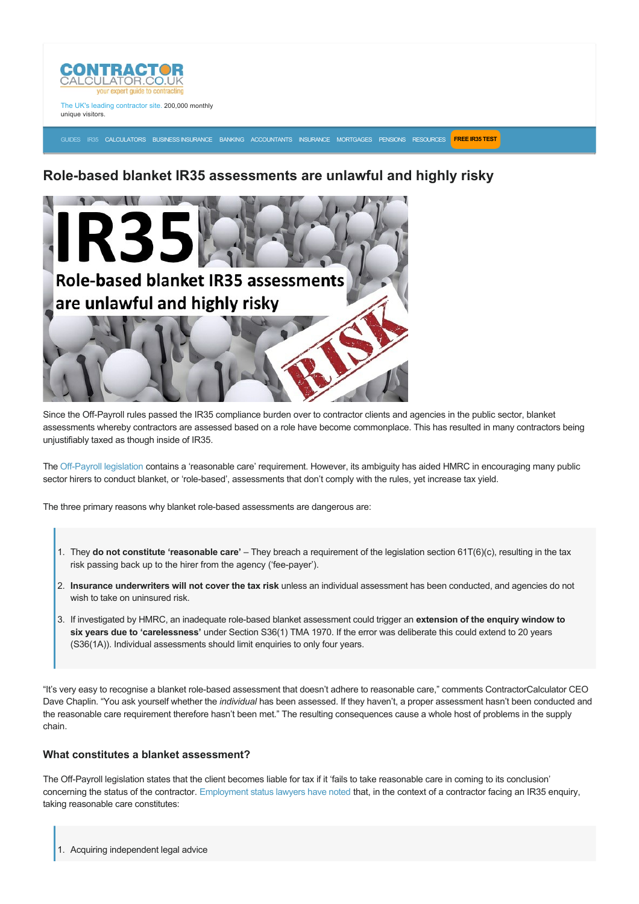

The UK's leading contractor site. 200,000 monthly unique visitors.

[GUIDES](https://www.contractorcalculator.co.uk/articles.aspx) [IR35](https://www.contractorcalculator.co.uk/ir35.aspx) [CALCULATORS](https://www.contractorcalculator.co.uk/calculators.aspx) [BUSINESS INSURANCE](https://www.contractorcalculator.co.uk/contractor_insurances.aspx) [BANKING](https://www.contractorcalculator.co.uk/contractor_banking.aspx) [ACCOUNTANTS](https://www.contractorcalculator.co.uk/contractor_accountant_services.aspx) [INSURANCE](https://www.contractorcalculator.co.uk/insurance.aspx) [MORTGAGES](https://www.contractorcalculator.co.uk/contractor_mortgages.aspx) [PENSIONS](https://www.contractorcalculator.co.uk/contractor_pensions.aspx) [RESOURCES](https://www.contractorcalculator.co.uk/contractor_resources.aspx) **[FREE IR35 TEST](https://www.ir35testing.co.uk/TakeTheTest)**

# **Rolebased blanket IR35 assessments are unlawful and highly risky**



Since the Off-Payroll rules passed the IR35 compliance burden over to contractor clients and agencies in the public sector, blanket assessments whereby contractors are assessed based on a role have become commonplace. This has resulted in many contractors being unjustifiably taxed as though inside of IR35.

The Off-Payroll legislation contains a 'reasonable care' requirement. However, its ambiguity has aided HMRC in encouraging many public sector hirers to conduct blanket, or 'role-based', assessments that don't comply with the rules, yet increase tax yield.

The three primary reasons why blanket role-based assessments are dangerous are:

- 1. They **do not constitute 'reasonable care'** They breach a requirement of the legislation section 61T(6)(c), resulting in the tax risk passing back up to the hirer from the agency ('fee-payer').
- 2. **Insurance underwriters will not cover the tax risk** unless an individual assessment has been conducted, and agencies do not wish to take on uninsured risk.
- 3. If investigated by HMRC, an inadequate rolebased blanket assessment could trigger an **extension of the enquiry window to six years due to 'carelessness'** under Section S36(1) TMA 1970. If the error was deliberate this could extend to 20 years (S36(1A)). Individual assessments should limit enquiries to only four years.

"It's very easy to recognise a blanket role-based assessment that doesn't adhere to reasonable care," comments ContractorCalculator CEO Dave Chaplin. "You ask yourself whether the *individual* has been assessed. If they haven't, a proper assessment hasn't been conducted and the reasonable care requirement therefore hasn't been met." The resulting consequences cause a whole host of problems in the supply chain.

# **What constitutes a blanket assessment?**

The Off-Payroll legislation states that the client becomes liable for tax if it 'fails to take reasonable care in coming to its conclusion' concerning the status of the contractor. [Employment status lawyers have noted](https://www.contractorcalculator.co.uk/hmrc_ess_tool_has_legal_authority_ir35_533910_news.aspx) that, in the context of a contractor facing an IR35 enquiry, taking reasonable care constitutes: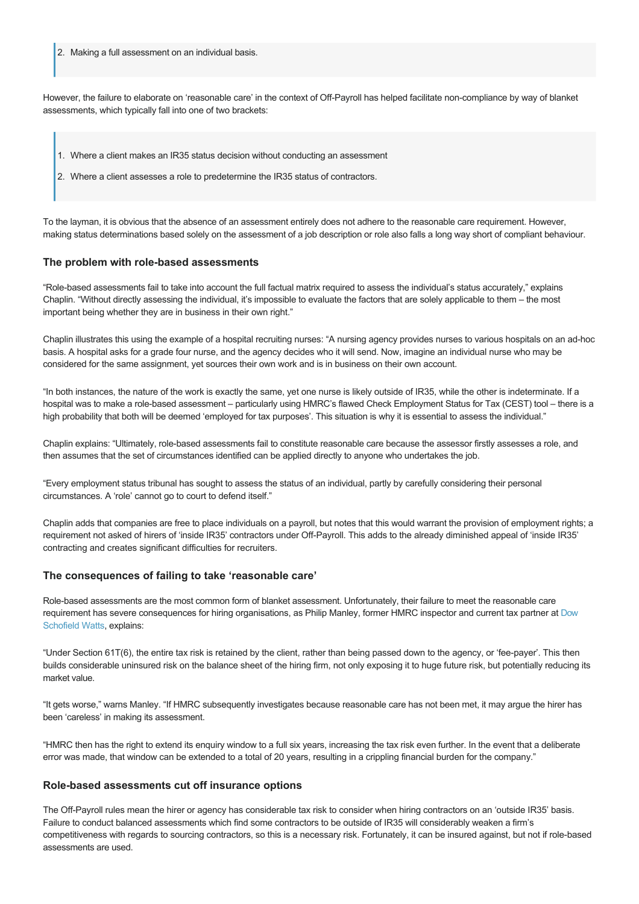2. Making a full assessment on an individual basis.

However, the failure to elaborate on 'reasonable care' in the context of Off-Payroll has helped facilitate non-compliance by way of blanket assessments, which typically fall into one of two brackets:

- 1. Where a client makes an IR35 status decision without conducting an assessment
- 2. Where a client assesses a role to predetermine the IR35 status of contractors.

To the layman, it is obvious that the absence of an assessment entirely does not adhere to the reasonable care requirement. However, making status determinations based solely on the assessment of a job description or role also falls a long way short of compliant behaviour.

## **The problem with rolebased assessments**

"Role-based assessments fail to take into account the full factual matrix required to assess the individual's status accurately," explains Chaplin. "Without directly assessing the individual, it's impossible to evaluate the factors that are solely applicable to them – the most important being whether they are in business in their own right."

Chaplin illustrates this using the example of a hospital recruiting nurses: "A nursing agency provides nurses to various hospitals on an adhoc basis. A hospital asks for a grade four nurse, and the agency decides who it will send. Now, imagine an individual nurse who may be considered for the same assignment, yet sources their own work and is in business on their own account.

"In both instances, the nature of the work is exactly the same, yet one nurse is likely outside of IR35, while the other is indeterminate. If a hospital was to make a role-based assessment – particularly using HMRC's flawed Check Employment Status for Tax (CEST) tool – there is a high probability that both will be deemed 'employed for tax purposes'. This situation is why it is essential to assess the individual."

Chaplin explains: "Ultimately, role-based assessments fail to constitute reasonable care because the assessor firstly assesses a role, and then assumes that the set of circumstances identified can be applied directly to anyone who undertakes the job.

"Every employment status tribunal has sought to assess the status of an individual, partly by carefully considering their personal circumstances. A 'role' cannot go to court to defend itself."

Chaplin adds that companies are free to place individuals on a payroll, but notes that this would warrant the provision of employment rights; a requirement not asked of hirers of 'inside IR35' contractors under Off-Payroll. This adds to the already diminished appeal of 'inside IR35' contracting and creates significant difficulties for recruiters.

#### **The consequences of failing to take 'reasonable care'**

Role-based assessments are the most common form of blanket assessment. Unfortunately, their failure to meet the reasonable care [requirement has severe consequences for hiring organisations, as Philip Manley, former HMRC inspector and current tax partner at Dow](https://www.dswcapital.com/) Schofield Watts, explains:

"Under Section 61T(6), the entire tax risk is retained by the client, rather than being passed down to the agency, or 'fee-payer'. This then builds considerable uninsured risk on the balance sheet of the hiring firm, not only exposing it to huge future risk, but potentially reducing its market value.

"It gets worse," warns Manley. "If HMRC subsequently investigates because reasonable care has not been met, it may argue the hirer has been 'careless' in making its assessment.

"HMRC then has the right to extend its enquiry window to a full six years, increasing the tax risk even further. In the event that a deliberate error was made, that window can be extended to a total of 20 years, resulting in a crippling financial burden for the company."

# **Rolebased assessments cut off insurance options**

The Off-Payroll rules mean the hirer or agency has considerable tax risk to consider when hiring contractors on an 'outside IR35' basis. Failure to conduct balanced assessments which find some contractors to be outside of IR35 will considerably weaken a firm's competitiveness with regards to sourcing contractors, so this is a necessary risk. Fortunately, it can be insured against, but not if role-based assessments are used.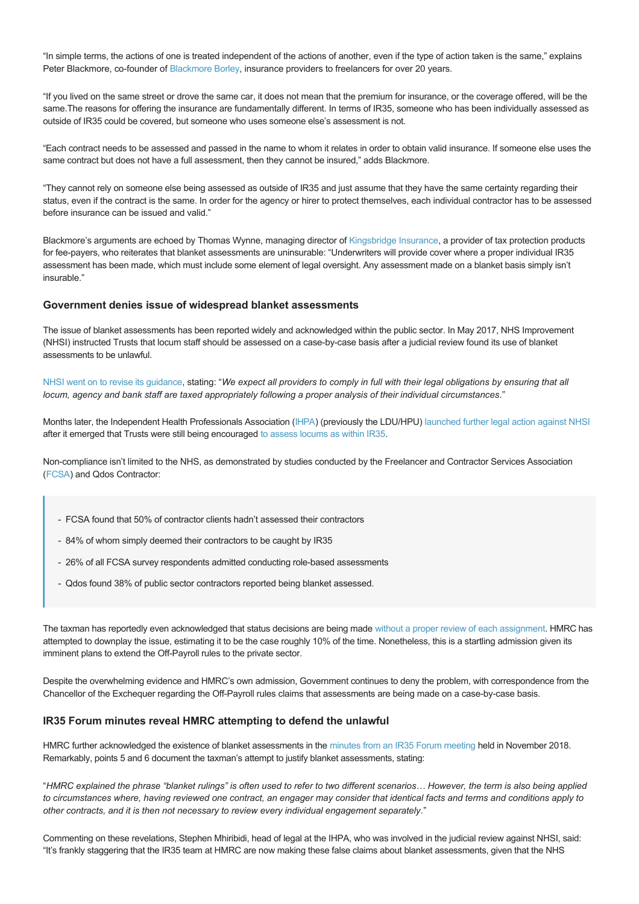"In simple terms, the actions of one is treated independent of the actions of another, even if the type of action taken is the same," explains Peter Blackmore, co-founder of [Blackmore Borley](https://www.blackmoreborley.com/), insurance providers to freelancers for over 20 years.

"If you lived on the same street or drove the same car, it does not mean that the premium for insurance, or the coverage offered, will be the same.The reasons for offering the insurance are fundamentally different. In terms of IR35, someone who has been individually assessed as outside of IR35 could be covered, but someone who uses someone else's assessment is not.

"Each contract needs to be assessed and passed in the name to whom it relates in order to obtain valid insurance. If someone else uses the same contract but does not have a full assessment, then they cannot be insured," adds Blackmore.

"They cannot rely on someone else being assessed as outside of IR35 and just assume that they have the same certainty regarding their status, even if the contract is the same. In order for the agency or hirer to protect themselves, each individual contractor has to be assessed before insurance can be issued and valid."

Blackmore's arguments are echoed by Thomas Wynne, managing director of [Kingsbridge Insurance](https://www.kingsbridge.co.uk/), a provider of tax protection products for fee-payers, who reiterates that blanket assessments are uninsurable: "Underwriters will provide cover where a proper individual IR35 assessment has been made, which must include some element of legal oversight. Any assessment made on a blanket basis simply isn't insurable."

# **Government denies issue of widespread blanket assessments**

The issue of blanket assessments has been reported widely and acknowledged within the public sector. In May 2017, NHS Improvement (NHSI) instructed Trusts that locum staff should be assessed on a case-by-case basis after a judicial review found its use of blanket assessments to be unlawful.

[NHSI went on to revise its guidance,](https://www.google.com/url?sa=t&source=web&rct=j&url=https://improvement.nhs.uk/documents/1128/IR35_Update_30May1.pdf&ved=2ahUKEwiQir3l9YfgAhXOVBUIHe0UAT4QFjABegQIAhAB&usg=AOvVaw2sTVRRi4gH-v_X_S44tO4C) stating: "*We expect all providers to comply in full with their legal obligations by ensuring that all locum, agency and bank staff are taxed appropriately following a proper analysis of their individual circumstances*."

Months later, the Independent Health Professionals Association ([IHPA](https://ihpa.org.uk/)) (previously the LDU/HPU) [launched further legal action against NHSI](https://www.contractorcalculator.co.uk/ir35_judicial_review_against_nhsi_537410_news.aspx) after it emerged that Trusts were still being encouraged [to assess locums as within IR35.](https://www.contractorcalculator.co.uk/nhs_survey_patient_care_services_crisis_ir35_537910_news.aspx)

Non-compliance isn't limited to the NHS, as demonstrated by studies conducted by the Freelancer and Contractor Services Association ([FCSA](http://www.fcsa.org.uk/legal-challenges-to-ir35-public-sector-reforms-seem-inevitable/)) and Qdos Contractor:

- FCSA found that 50% of contractor clients hadn't assessed their contractors
- 84% of whom simply deemed their contractors to be caught by IR35
- 26% of all FCSA survey respondents admitted conducting role-based assessments
- Qdos found 38% of public sector contractors reported being blanket assessed.

The taxman has reportedly even acknowledged that status decisions are being made [without a proper review of each assignment.](https://www.arc-org.net/wp-content/uploads/2018/08/response-to-off-payroll-private-sector-090818f.pdf) HMRC has attempted to downplay the issue, estimating it to be the case roughly 10% of the time. Nonetheless, this is a startling admission given its imminent plans to extend the Off-Payroll rules to the private sector.

Despite the overwhelming evidence and HMRC's own admission, Government continues to deny the problem, with correspondence from the Chancellor of the Exchequer regarding the Off-Payroll rules claims that assessments are being made on a case-by-case basis.

#### **IR35 Forum minutes reveal HMRC attempting to defend the unlawful**

HMRC further acknowledged the existence of blanket assessments in the [minutes from an IR35 Forum meeting](https://assets.publishing.service.gov.uk/government/uploads/system/uploads/attachment_data/file/773228/IR35_forum_minutes_21_November_2018.pdf) held in November 2018. Remarkably, points 5 and 6 document the taxman's attempt to justify blanket assessments, stating:

"*HMRC explained the phrase "blanket rulings" is often used to refer to two different scenarios… However, the term is also being applied to circumstances where, having reviewed one contract, an engager may consider that identical facts and terms and conditions apply to other contracts, and it is then not necessary to review every individual engagement separately*."

Commenting on these revelations, Stephen Mhiribidi, head of legal at the IHPA, who was involved in the judicial review against NHSI, said: "It's frankly staggering that the IR35 team at HMRC are now making these false claims about blanket assessments, given that the NHS